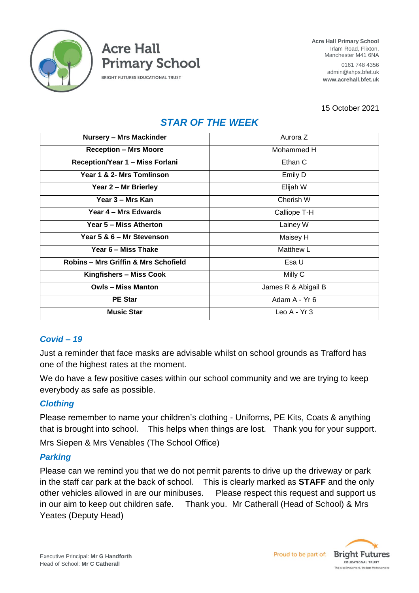

**Acre Hall Primary School BRIGHT FUTURES EDUCATIONAL TRUST** 

**Acre Hall Primary School** Irlam Road, Flixton, Manchester M41 6NA

> 0161 748 4356 admin@ahps.bfet.uk **www.acrehall.bfet.uk**

15 October 2021

# *STAR OF THE WEEK*

| <b>Nursery - Mrs Mackinder</b>                  | Aurora Z            |
|-------------------------------------------------|---------------------|
| <b>Reception - Mrs Moore</b>                    | Mohammed H          |
| <b>Reception/Year 1 - Miss Forlani</b>          | Ethan C             |
| Year 1 & 2- Mrs Tomlinson                       | Emily D             |
| Year 2 - Mr Brierley                            | Elijah W            |
| Year 3 – Mrs Kan                                | Cherish W           |
| Year 4 – Mrs Edwards                            | Calliope T-H        |
| Year 5 – Miss Atherton                          | Lainey W            |
| Year 5 & 6 - Mr Stevenson                       | Maisey H            |
| Year 6 – Miss Thake                             | Matthew L           |
| <b>Robins - Mrs Griffin &amp; Mrs Schofield</b> | Esa U               |
| Kingfishers - Miss Cook                         | Milly C             |
| <b>Owls - Miss Manton</b>                       | James R & Abigail B |
| <b>PE Star</b>                                  | Adam A - Yr 6       |
| <b>Music Star</b>                               | Leo $A - Yr$ 3      |

# *Covid – 19*

Just a reminder that face masks are advisable whilst on school grounds as Trafford has one of the highest rates at the moment.

We do have a few positive cases within our school community and we are trying to keep everybody as safe as possible.

#### *Clothing*

Please remember to name your children's clothing - Uniforms, PE Kits, Coats & anything that is brought into school. This helps when things are lost. Thank you for your support. Mrs Siepen & Mrs Venables (The School Office)

#### *Parking*

Please can we remind you that we do not permit parents to drive up the driveway or park in the staff car park at the back of school. This is clearly marked as **STAFF** and the only other vehicles allowed in are our minibuses. Please respect this request and support us in our aim to keep out children safe. Thank you. Mr Catherall (Head of School) & Mrs Yeates (Deputy Head)